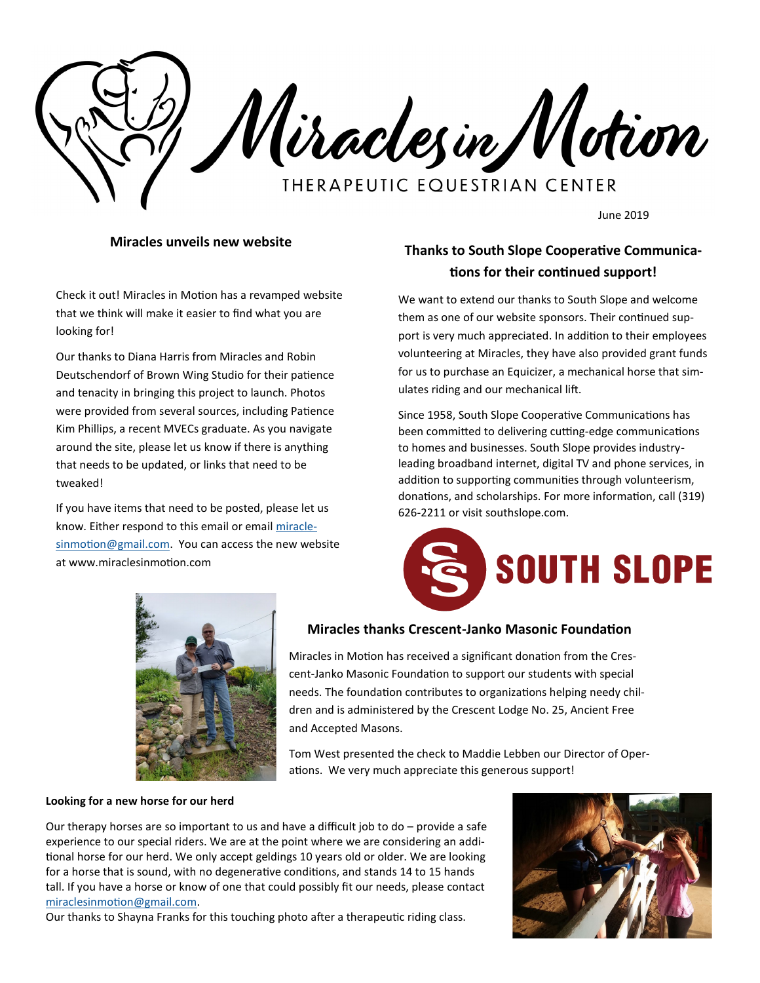Miraclesin Motion **THERAPEUTIC EQUESTRIAN CENTER** 

June 2019

## **Miracles unveils new website**

Check it out! Miracles in Motion has a revamped website that we think will make it easier to find what you are looking for!

Our thanks to Diana Harris from Miracles and Robin Deutschendorf of Brown Wing Studio for their patience and tenacity in bringing this project to launch. Photos were provided from several sources, including Patience Kim Phillips, a recent MVECs graduate. As you navigate around the site, please let us know if there is anything that needs to be updated, or links that need to be tweaked!

If you have items that need to be posted, please let us know. Either respond to this email or email [miracle](mailto:miraclesinmotion@gmail.com)[sinmotion@gmail.com.](mailto:miraclesinmotion@gmail.com) You can access the new website at www.miraclesinmotion.com

# **Thanks to South Slope Cooperative Communications for their continued support!**

We want to extend our thanks to South Slope and welcome them as one of our website sponsors. Their continued support is very much appreciated. In addition to their employees volunteering at Miracles, they have also provided grant funds for us to purchase an Equicizer, a mechanical horse that simulates riding and our mechanical lift.

Since 1958, South Slope Cooperative Communications has been committed to delivering cutting-edge communications to homes and businesses. South Slope provides industryleading broadband internet, digital TV and phone services, in addition to supporting communities through volunteerism, donations, and scholarships. For more information, call (319) 626-2211 or visit southslope.com.





### **Miracles thanks Crescent-Janko Masonic Foundation**

Miracles in Motion has received a significant donation from the Crescent-Janko Masonic Foundation to support our students with special needs. The foundation contributes to organizations helping needy children and is administered by the Crescent Lodge No. 25, Ancient Free and Accepted Masons.

Tom West presented the check to Maddie Lebben our Director of Operations. We very much appreciate this generous support!

#### **Looking for a new horse for our herd**

Our therapy horses are so important to us and have a difficult job to do – provide a safe experience to our special riders. We are at the point where we are considering an additional horse for our herd. We only accept geldings 10 years old or older. We are looking for a horse that is sound, with no degenerative conditions, and stands 14 to 15 hands tall. If you have a horse or know of one that could possibly fit our needs, please contact [miraclesinmotion@gmail.com.](mailto:miraclesinmotion@gmail.com)

Our thanks to Shayna Franks for this touching photo after a therapeutic riding class.